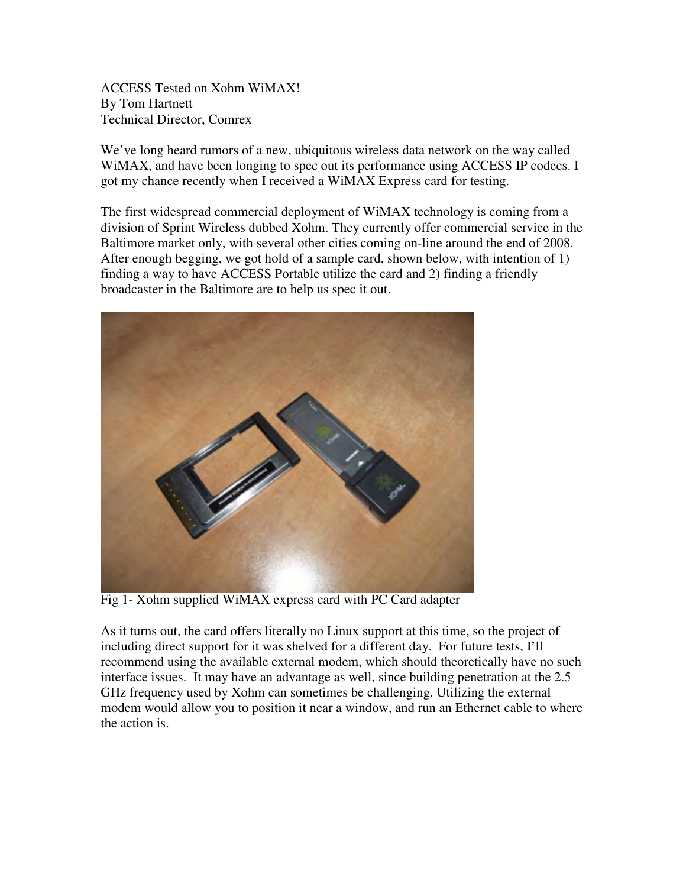ACCESS Tested on Xohm WiMAX! By Tom Hartnett Technical Director, Comrex

We've long heard rumors of a new, ubiquitous wireless data network on the way called WiMAX, and have been longing to spec out its performance using ACCESS IP codecs. I got my chance recently when I received a WiMAX Express card for testing.

The first widespread commercial deployment of WiMAX technology is coming from a division of Sprint Wireless dubbed Xohm. They currently offer commercial service in the Baltimore market only, with several other cities coming on-line around the end of 2008. After enough begging, we got hold of a sample card, shown below, with intention of 1) finding a way to have ACCESS Portable utilize the card and 2) finding a friendly broadcaster in the Baltimore are to help us spec it out.



Fig 1- Xohm supplied WiMAX express card with PC Card adapter

As it turns out, the card offers literally no Linux support at this time, so the project of including direct support for it was shelved for a different day. For future tests, I'll recommend using the available external modem, which should theoretically have no such interface issues. It may have an advantage as well, since building penetration at the 2.5 GHz frequency used by Xohm can sometimes be challenging. Utilizing the external modem would allow you to position it near a window, and run an Ethernet cable to where the action is.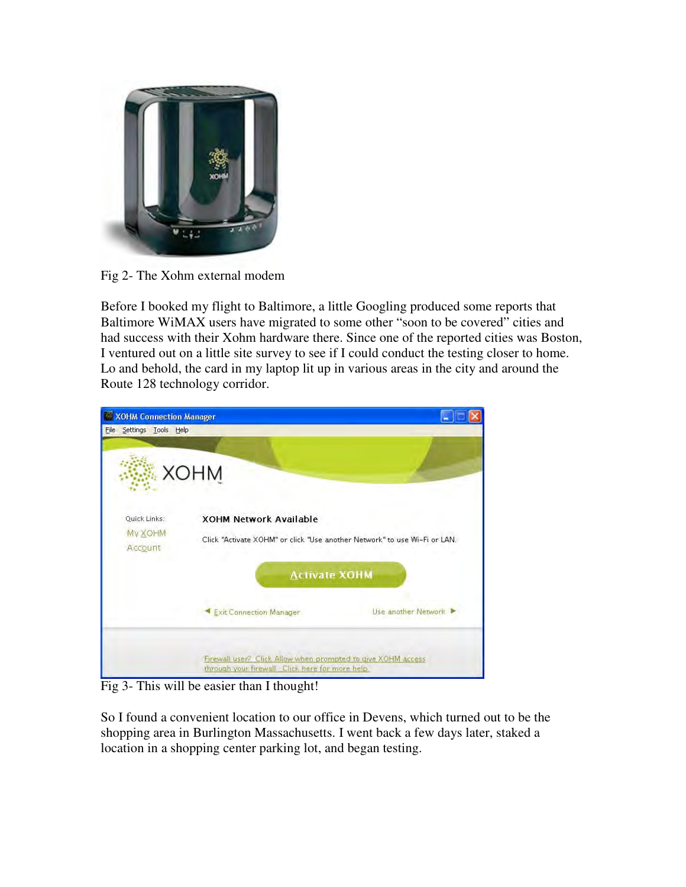

Fig 2- The Xohm external modem

Before I booked my flight to Baltimore, a little Googling produced some reports that Baltimore WiMAX users have migrated to some other "soon to be covered" cities and had success with their Xohm hardware there. Since one of the reported cities was Boston, I ventured out on a little site survey to see if I could conduct the testing closer to home. Lo and behold, the card in my laptop lit up in various areas in the city and around the Route 128 technology corridor.



Fig 3- This will be easier than I thought!

So I found a convenient location to our office in Devens, which turned out to be the shopping area in Burlington Massachusetts. I went back a few days later, staked a location in a shopping center parking lot, and began testing.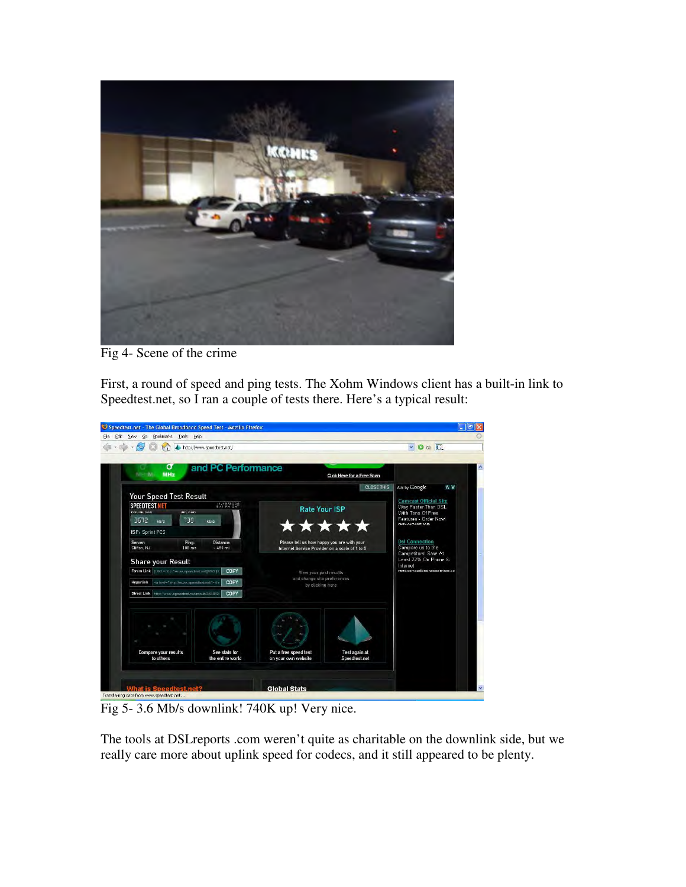

Fig 4- Scene of the crime

First, a round of speed and ping tests. The Xohm Windows client has a built-in link to Speedtest.net, so I ran a couple of tests there. Here's a typical result:



Fig 5- 3.6 Mb/s downlink! 740K up! Very nice.

The tools at DSLreports .com weren't quite as charitable on the downlink side, but we really care more about uplink speed for codecs, and it still appeared to be plenty.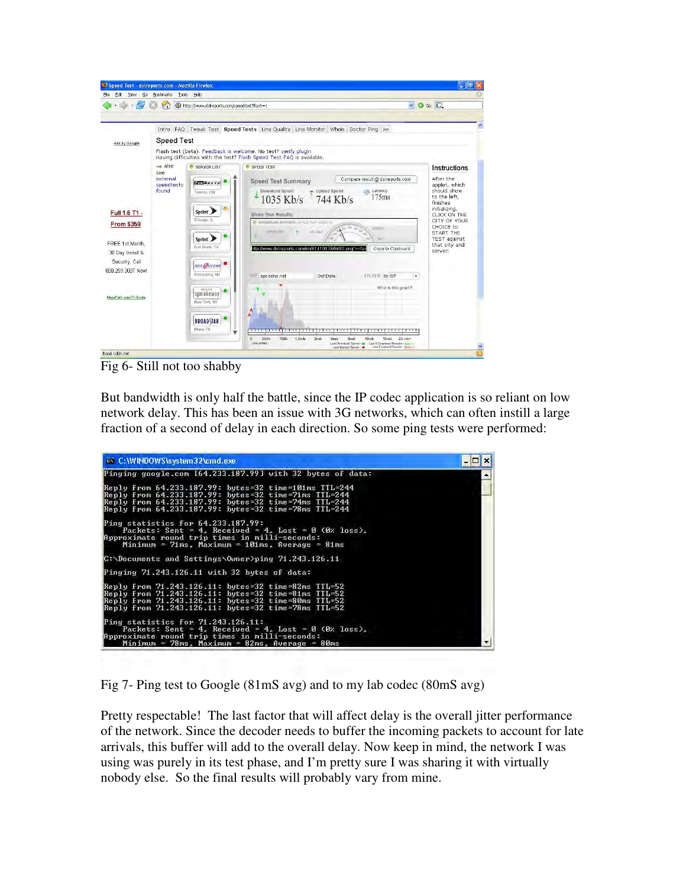| Speed Test - dstreports.com - Mozilla Firefox<br>Go<br>File<br>Edit<br>View                 | Bookmarks<br>Tools                                                                                                                      | Help                                                                                                            |                                                                                                                                                                                                                                                                                                                                                                               | $\lfloor \cdot \rfloor$ and $\lfloor x \rfloor$                                                                                                                                                                     |  |  |  |  |  |  |
|---------------------------------------------------------------------------------------------|-----------------------------------------------------------------------------------------------------------------------------------------|-----------------------------------------------------------------------------------------------------------------|-------------------------------------------------------------------------------------------------------------------------------------------------------------------------------------------------------------------------------------------------------------------------------------------------------------------------------------------------------------------------------|---------------------------------------------------------------------------------------------------------------------------------------------------------------------------------------------------------------------|--|--|--|--|--|--|
| C Go C<br>$\ddot{\phantom{0}}$<br>r.<br>http://www.dsireports.com/speedtest?flash=1         |                                                                                                                                         |                                                                                                                 |                                                                                                                                                                                                                                                                                                                                                                               |                                                                                                                                                                                                                     |  |  |  |  |  |  |
|                                                                                             |                                                                                                                                         |                                                                                                                 | Intro FAQ Tweak Test Speed Tests Line Quality Line Monitor Whois Doctor Ping >>>                                                                                                                                                                                                                                                                                              |                                                                                                                                                                                                                     |  |  |  |  |  |  |
| Ads by Google                                                                               | <b>Speed Test</b>                                                                                                                       |                                                                                                                 |                                                                                                                                                                                                                                                                                                                                                                               |                                                                                                                                                                                                                     |  |  |  |  |  |  |
|                                                                                             | Flash test (beta). Feedback is welcome, No test? verify plugin<br>Having difficulties with the test? Flash Speed Test FAQ is available. |                                                                                                                 |                                                                                                                                                                                                                                                                                                                                                                               |                                                                                                                                                                                                                     |  |  |  |  |  |  |
| Full 1.5 T1 -<br><b>From \$359</b><br>FREE 1st Month,<br>30 Day Install &<br>Security, Call | $\Rightarrow$ also<br>SBB<br>external<br><i>speedtests</i><br>found                                                                     | SERVER LIST<br><b>UISSavvu</b><br>Totanto, ON<br>Sprint<br>Chicago, IL<br>Sprint<br>Fort Worth, TX<br>net@ccess | <b>C</b> SPFFD TFST<br>Compare result @ dsireports.com<br><b>Speed Test Summary</b><br>Download Speed<br><b>Upload Speed</b><br>Latency<br>扇<br>175ms<br>1035 Kb/s 744 Kb/s<br><b>Share Your Results:</b><br><b>C BROADBAND REPORTS I SPELD TILST 42S LTS</b><br>LESUES<br>DOMETAD.<br>UPLOAD<br>ish<br>http://www.dsireports.com/im/61410138/9460.png"><br>Copy to Clipboard | Instructions<br>After the<br>applet, which<br>should show<br>to the left,<br>finishes<br>initializing,<br>CLICK ON THE<br>CITY OF YOUR<br>CHOICE to<br>START THE<br><b>TEST</b> against<br>that city and<br>server! |  |  |  |  |  |  |
| 888 259 3087 Now!<br>Mega Path.com/T1-Quote                                                 |                                                                                                                                         | Parsippany, NJ<br>(11)<br>speakeasy<br>New York: NY<br><b>BROADSTAR</b><br>Miami, FL                            | <b>SP spesdns.net</b><br>Get Data<br>FILITE by ISP<br>۰<br>What is this graph?<br><del>.</del><br>w<br>$\Omega$<br>384k<br><b>768k</b><br>1.5mb<br>3mb<br>6mb<br>15mb<br>$20$ mb+<br>8 <sub>mb</sub><br>10 <sub>mb</sub><br>Levis spreads<br>Last Download Speed - P Last 5 Download Results -                                                                                |                                                                                                                                                                                                                     |  |  |  |  |  |  |

Fig 6- Still not too shabby

But bandwidth is only half the battle, since the IP codec application is so reliant on low network delay. This has been an issue with 3G networks, which can often instill a large fraction of a second of delay in each direction. So some ping tests were performed:



Fig 7- Ping test to Google (81mS avg) and to my lab codec (80mS avg)

Pretty respectable! The last factor that will affect delay is the overall jitter performance of the network. Since the decoder needs to buffer the incoming packets to account for late arrivals, this buffer will add to the overall delay. Now keep in mind, the network I was using was purely in its test phase, and I'm pretty sure I was sharing it with virtually nobody else. So the final results will probably vary from mine.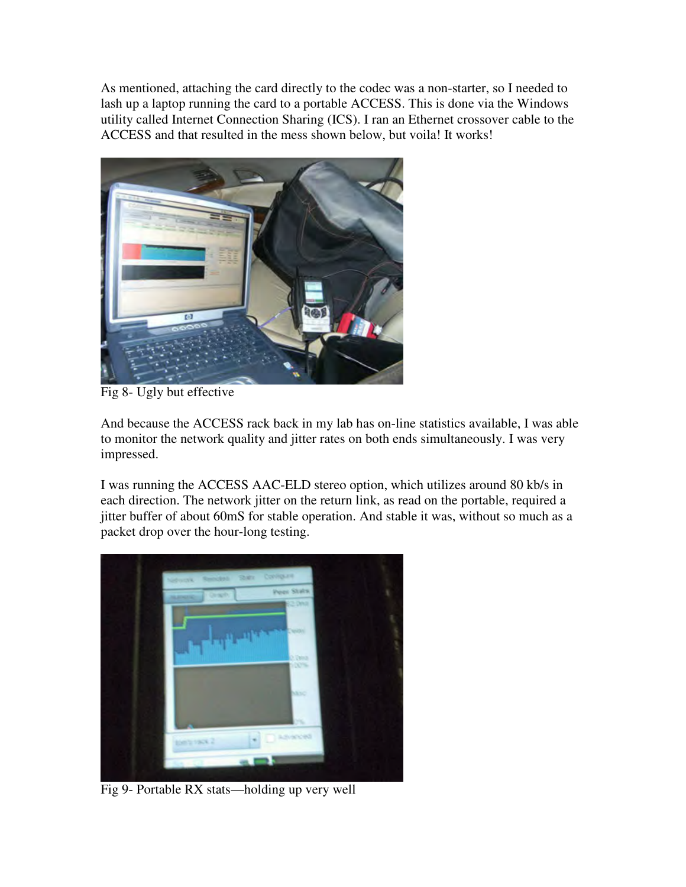As mentioned, attaching the card directly to the codec was a non-starter, so I needed to lash up a laptop running the card to a portable ACCESS. This is done via the Windows utility called Internet Connection Sharing (ICS). I ran an Ethernet crossover cable to the ACCESS and that resulted in the mess shown below, but voila! It works!



Fig 8- Ugly but effective

And because the ACCESS rack back in my lab has on-line statistics available, I was able to monitor the network quality and jitter rates on both ends simultaneously. I was very impressed.

I was running the ACCESS AAC-ELD stereo option, which utilizes around 80 kb/s in each direction. The network jitter on the return link, as read on the portable, required a jitter buffer of about 60mS for stable operation. And stable it was, without so much as a packet drop over the hour-long testing.



Fig 9- Portable RX stats—holding up very well